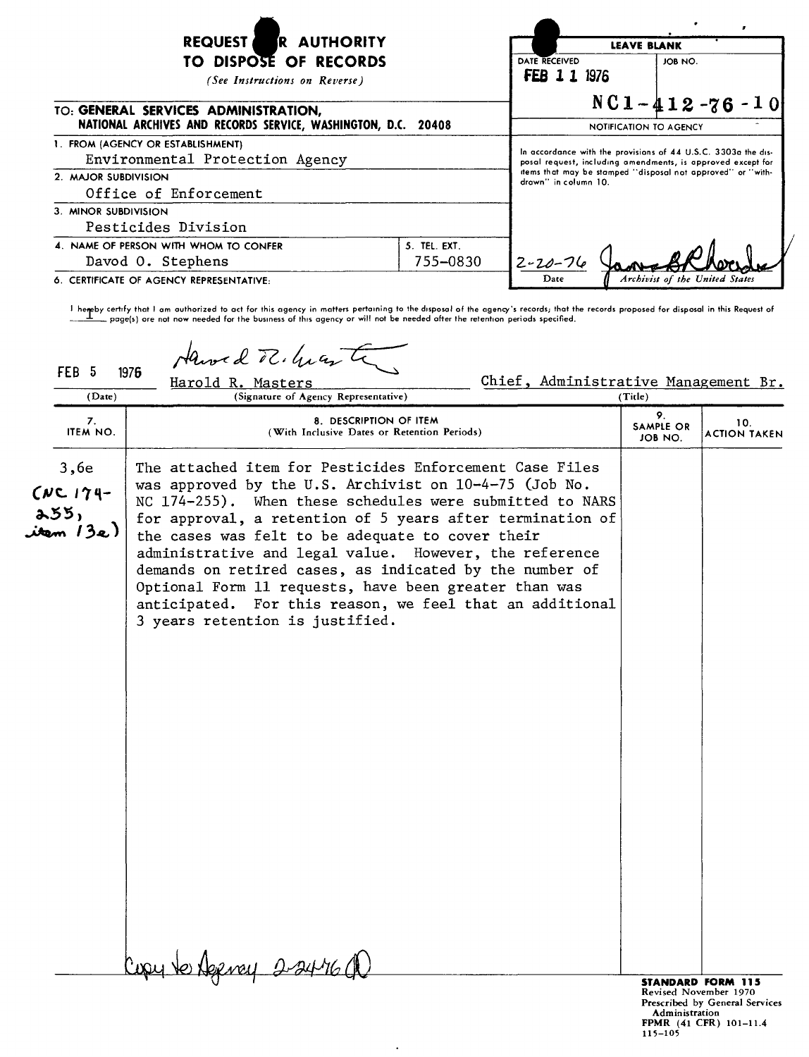| R AUTHORITY<br><b>REQUEST</b>                                                                         | <b>LEAVE BLANK</b>                                                                  |                                                                                                                              |                                |  |
|-------------------------------------------------------------------------------------------------------|-------------------------------------------------------------------------------------|------------------------------------------------------------------------------------------------------------------------------|--------------------------------|--|
| TO DISPOSE OF RECORDS<br>(See Instructions on Reverse)                                                | DATE RECEIVED<br><b>FEB 1 1 1976</b>                                                | JOB NO.                                                                                                                      |                                |  |
| TO: GENERAL SERVICES ADMINISTRATION,<br>NATIONAL ARCHIVES AND RECORDS SERVICE, WASHINGTON, D.C. 20408 |                                                                                     | $NC1 - 412 - 76 - 10$<br>NOTIFICATION TO AGENCY                                                                              |                                |  |
| 1. FROM (AGENCY OR ESTABLISHMENT)<br>Environmental Protection Agency                                  |                                                                                     | In accordance with the provisions of 44 U.S.C. 3303a the dis-<br>posal request, including amendments, is approved except for |                                |  |
| 2. MAJOR SUBDIVISION<br>Office of Enforcement                                                         | items that may be stamped "disposal not approved" or "with-<br>drawn" in column 10. |                                                                                                                              |                                |  |
| 3. MINOR SUBDIVISION<br>Pesticides Division                                                           |                                                                                     |                                                                                                                              |                                |  |
| 4. NAME OF PERSON WITH WHOM TO CONFER<br>Davod O. Stephens                                            | 5. TEL. EXT.<br>755-0830                                                            | $2 - 20 - 76$                                                                                                                |                                |  |
| 6. CERTIFICATE OF AGENCY REPRESENTATIVE:                                                              |                                                                                     | Date                                                                                                                         | Archivist of the United States |  |

themeby certify that I am authorized to act for this agency in matters pertaining to the disposal of the agency's records; that the records proposed for disposal in this Request of المسلسلة page(s) ore not now needed for

FEB 5 1976  $\frac{1}{2}$  Harold R. Masters<br>
(Date) Harold R. Masters<br>
(Date) (Title) (Title) Harold R. Masters<br>(Signature of Agency

| $($ $\omega$ are $)$<br>(signature of Agency Representative) |                                                                                                                                                                                                                                                                                                                                                                                                                                                                                                                                                                             | 1 T IIIC 1                 |                            |
|--------------------------------------------------------------|-----------------------------------------------------------------------------------------------------------------------------------------------------------------------------------------------------------------------------------------------------------------------------------------------------------------------------------------------------------------------------------------------------------------------------------------------------------------------------------------------------------------------------------------------------------------------------|----------------------------|----------------------------|
| 7.<br>ITEM NO.                                               | 8. DESCRIPTION OF ITEM<br>(With Inclusive Dates or Retention Periods)                                                                                                                                                                                                                                                                                                                                                                                                                                                                                                       | 9.<br>SAMPLE OR<br>JOB NO. | 10.<br><b>ACTION TAKEN</b> |
| 3,6e<br>$CNC174-$<br>255,<br>item 13e)                       | The attached item for Pesticides Enforcement Case Files<br>was approved by the U.S. Archivist on 10-4-75 (Job No.<br>NC 174-255). When these schedules were submitted to NARS<br>for approval, a retention of 5 years after termination of<br>the cases was felt to be adequate to cover their<br>administrative and legal value. However, the reference<br>demands on retired cases, as indicated by the number of<br>Optional Form 11 requests, have been greater than was<br>anticipated. For this reason, we feel that an additional<br>3 years retention is justified. |                            |                            |
|                                                              | Cupy to Agency 2-2476                                                                                                                                                                                                                                                                                                                                                                                                                                                                                                                                                       |                            |                            |
|                                                              |                                                                                                                                                                                                                                                                                                                                                                                                                                                                                                                                                                             | Revised November 1970      | <b>STANDARD FORM 115</b>   |

 $\ddot{\phantom{1}}$